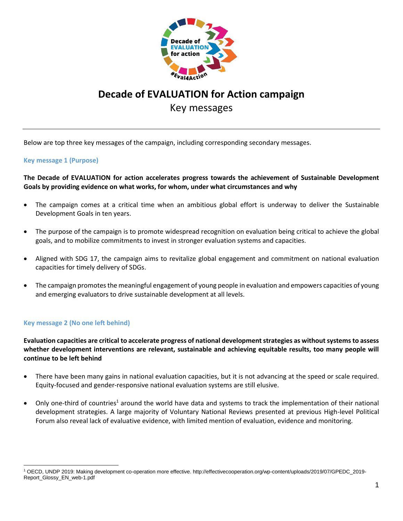

# **Decade of EVALUATION for Action campaign** Key messages

Below are top three key messages of the campaign, including corresponding secondary messages.

### **Key message 1 (Purpose)**

## **The Decade of EVALUATION for action accelerates progress towards the achievement of Sustainable Development Goals by providing evidence on what works, for whom, under what circumstances and why**

- The campaign comes at a critical time when an ambitious global effort is underway to deliver the Sustainable Development Goals in ten years.
- The purpose of the campaign is to promote widespread recognition on evaluation being critical to achieve the global goals, and to mobilize commitments to invest in stronger evaluation systems and capacities.
- Aligned with SDG 17, the campaign aims to revitalize global engagement and commitment on national evaluation capacities for timely delivery of SDGs.
- The campaign promotes the meaningful engagement of young people in evaluation and empowers capacities of young and emerging evaluators to drive sustainable development at all levels.

# **Key message 2 (No one left behind)**

**Evaluation capacities are critical to accelerate progress of national development strategies as without systems to assess whether development interventions are relevant, sustainable and achieving equitable results, too many people will continue to be left behind** 

- There have been many gains in national evaluation capacities, but it is not advancing at the speed or scale required. Equity-focused and gender-responsive national evaluation systems are still elusive.
- Only one-third of countries<sup>1</sup> around the world have data and systems to track the implementation of their national development strategies. A large majority of Voluntary National Reviews presented at previous High-level Political Forum also reveal lack of evaluative evidence, with limited mention of evaluation, evidence and monitoring.

<sup>1</sup> OECD, UNDP 2019: Making development co-operation more effective. http://effectivecooperation.org/wp-content/uploads/2019/07/GPEDC\_2019- Report\_Glossy\_EN\_web-1.pdf